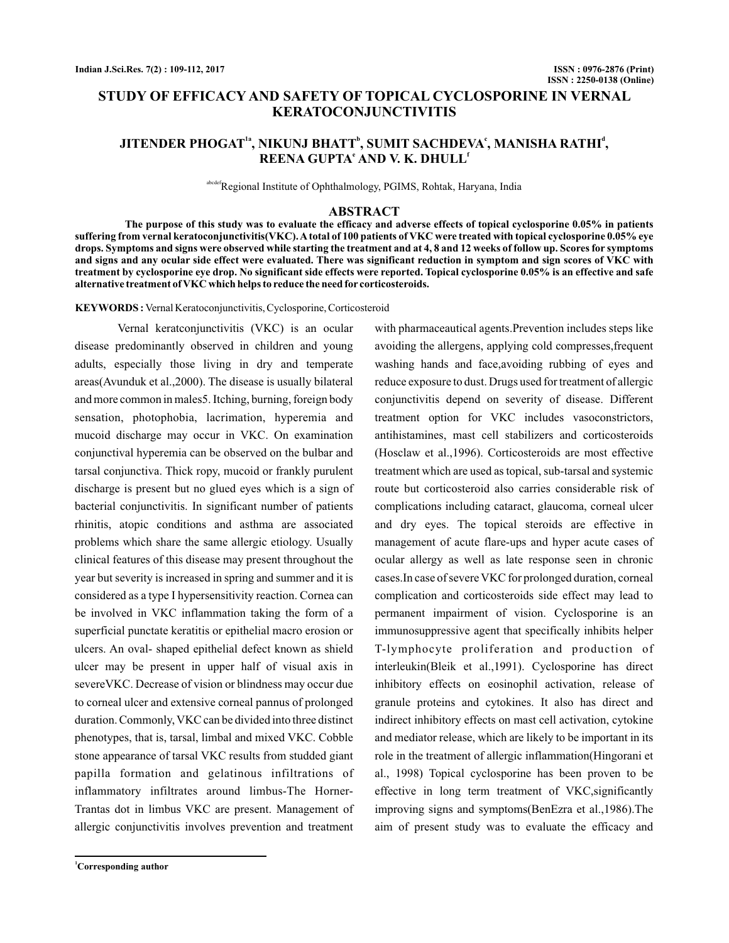# **STUDY OF EFFICACY AND SAFETY OF TOPICAL CYCLOSPORINE IN VERNAL KERATOCONJUNCTIVITIS**

# JITENDER PHOGAT<sup>1a</sup>, NIKUNJ BHATT<sup>ь</sup>, SUMIT SACHDEVAʿ, MANISHA RATHI<sup>d</sup>,  $\mathbf{R}\mathbf{EENA}\ \mathbf{GUPTA}^{\mathbf{e}}\ \mathbf{AND}\ \mathbf{V}\ \mathbf{K}\ \mathbf{D}\mathbf{HULL}^{\mathbf{f}}$

Regional Institute of Ophthalmology, PGIMS, Rohtak, Haryana, India

### **ABSTRACT**

**The purpose of this study was to evaluate the efficacy and adverse effects of topical cyclosporine 0.05% in patients suffering from vernal keratoconjunctivitis(VKC).Atotal of 100 patients of VKC were treated with topical cyclosporine 0.05% eye drops. Symptoms and signs were observed while starting the treatment and at 4, 8 and 12 weeks of follow up. Scores for symptoms and signs and any ocular side effect were evaluated. There was significant reduction in symptom and sign scores of VKC with treatment by cyclosporine eye drop. No significant side effects were reported. Topical cyclosporine 0.05% is an effective and safe alternative treatment of VKC which helps to reduce the need for corticosteroids.**

KEYWORDS: Vernal Keratoconjunctivitis, Cyclosporine, Corticosteroid

Vernal keratconjunctivitis (VKC) is an ocular disease predominantly observed in children and young adults, especially those living in dry and temperate areas(Avunduk et al.,2000). The disease is usually bilateral and more common in males5. Itching, burning, foreign body sensation, photophobia, lacrimation, hyperemia and mucoid discharge may occur in VKC. On examination conjunctival hyperemia can be observed on the bulbar and tarsal conjunctiva. Thick ropy, mucoid or frankly purulent discharge is present but no glued eyes which is a sign of bacterial conjunctivitis. In significant number of patients rhinitis, atopic conditions and asthma are associated problems which share the same allergic etiology. Usually clinical features of this disease may present throughout the year but severity is increased in spring and summer and it is considered as a type I hypersensitivity reaction. Cornea can be involved in VKC inflammation taking the form of a superficial punctate keratitis or epithelial macro erosion or ulcers. An oval- shaped epithelial defect known as shield ulcer may be present in upper half of visual axis in severeVKC. Decrease of vision or blindness may occur due to corneal ulcer and extensive corneal pannus of prolonged duration. Commonly, VKC can be divided into three distinct phenotypes, that is, tarsal, limbal and mixed VKC. Cobble stone appearance of tarsal VKC results from studded giant papilla formation and gelatinous infiltrations of inflammatory infiltrates around limbus-The Horner-Trantas dot in limbus VKC are present. Management of allergic conjunctivitis involves prevention and treatment

avoiding the allergens, applying cold compresses,frequent washing hands and face,avoiding rubbing of eyes and reduce exposure to dust. Drugs used for treatment of allergic conjunctivitis depend on severity of disease. Different treatment option for VKC includes vasoconstrictors, antihistamines, mast cell stabilizers and corticosteroids (Hosclaw et al.,1996). Corticosteroids are most effective treatment which are used as topical, sub-tarsal and systemic route but corticosteroid also carries considerable risk of complications including cataract, glaucoma, corneal ulcer and dry eyes. The topical steroids are effective in management of acute flare-ups and hyper acute cases of ocular allergy as well as late response seen in chronic cases.In case of severe VKC for prolonged duration, corneal complication and corticosteroids side effect may lead to permanent impairment of vision. Cyclosporine is an immunosuppressive agent that specifically inhibits helper T-lymphocyte proliferation and production of interleukin(Bleik et al.,1991). Cyclosporine has direct inhibitory effects on eosinophil activation, release of granule proteins and cytokines. It also has direct and indirect inhibitory effects on mast cell activation, cytokine and mediator release, which are likely to be important in its role in the treatment of allergic inflammation(Hingorani et al., 1998) Topical cyclosporine has been proven to be effective in long term treatment of VKC,significantly improving signs and symptoms(BenEzra et al.,1986).The aim of present study was to evaluate the efficacy and

with pharmaceautical agents.Prevention includes steps like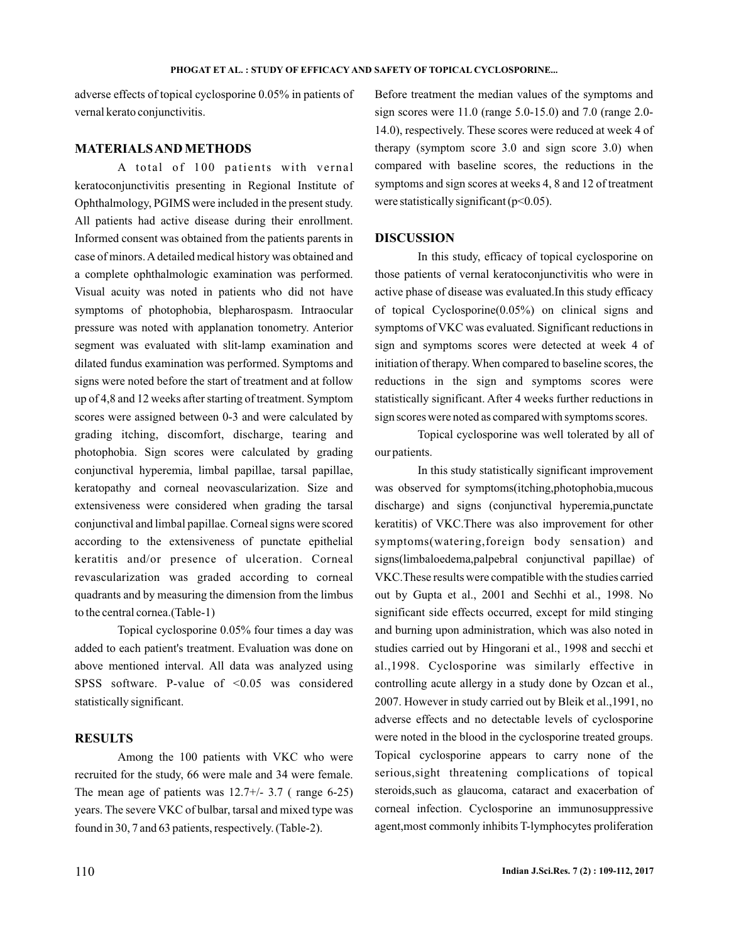adverse effects of topical cyclosporine 0.05% in patients of vernal kerato conjunctivitis.

### **MATERIALSAND METHODS**

A total of 100 patients with vernal keratoconjunctivitis presenting in Regional Institute of Ophthalmology, PGIMS were included in the present study. All patients had active disease during their enrollment. Informed consent was obtained from the patients parents in case of minors. A detailed medical history was obtained and a complete ophthalmologic examination was performed. Visual acuity was noted in patients who did not have symptoms of photophobia, blepharospasm. Intraocular pressure was noted with applanation tonometry. Anterior segment was evaluated with slit-lamp examination and dilated fundus examination was performed. Symptoms and signs were noted before the start of treatment and at follow up of 4,8 and 12 weeks after starting of treatment. Symptom scores were assigned between 0-3 and were calculated by grading itching, discomfort, discharge, tearing and photophobia. Sign scores were calculated by grading conjunctival hyperemia, limbal papillae, tarsal papillae, keratopathy and corneal neovascularization. Size and extensiveness were considered when grading the tarsal conjunctival and limbal papillae. Corneal signs were scored according to the extensiveness of punctate epithelial keratitis and/or presence of ulceration. Corneal revascularization was graded according to corneal quadrants and by measuring the dimension from the limbus to the central cornea.(Table-1)

Topical cyclosporine 0.05% four times a day was added to each patient's treatment. Evaluation was done on above mentioned interval. All data was analyzed using SPSS software. P-value of <0.05 was considered statistically significant.

## **RESULTS**

Among the 100 patients with VKC who were recruited for the study, 66 were male and 34 were female. The mean age of patients was  $12.7+/-3.7$  (range 6-25) years. The severe VKC of bulbar, tarsal and mixed type was found in 30, 7 and 63 patients, respectively. (Table-2).

Before treatment the median values of the symptoms and sign scores were 11.0 (range 5.0-15.0) and 7.0 (range 2.0- 14.0), respectively. These scores were reduced at week 4 of therapy (symptom score 3.0 and sign score 3.0) when compared with baseline scores, the reductions in the symptoms and sign scores at weeks 4, 8 and 12 of treatment were statistically significant  $(p<0.05)$ .

#### **DISCUSSION**

In this study, efficacy of topical cyclosporine on those patients of vernal keratoconjunctivitis who were in active phase of disease was evaluated.In this study efficacy of topical Cyclosporine(0.05%) on clinical signs and symptoms of VKC was evaluated. Significant reductions in sign and symptoms scores were detected at week 4 of initiation of therapy. When compared to baseline scores, the reductions in the sign and symptoms scores were statistically significant. After 4 weeks further reductions in sign scores were noted as compared with symptoms scores.

Topical cyclosporine was well tolerated by all of our patients.

In this study statistically significant improvement was observed for symptoms(itching,photophobia,mucous discharge) and signs (conjunctival hyperemia, punctate keratitis) of VKC.There was also improvement for other symptoms(watering,foreign body sensation) and signs(limbaloedema,palpebral conjunctival papillae) of VKC.These results were compatible with the studies carried out by Gupta et al., 2001 and Sechhi et al., 1998. No significant side effects occurred, except for mild stinging and burning upon administration, which was also noted in studies carried out by Hingorani et al., 1998 and secchi et al.,1998. Cyclosporine was similarly effective in controlling acute allergy in a study done by Ozcan et al., 2007. However in study carried out by Bleik et al.,1991, no adverse effects and no detectable levels of cyclosporine were noted in the blood in the cyclosporine treated groups. Topical cyclosporine appears to carry none of the serious,sight threatening complications of topical steroids,such as glaucoma, cataract and exacerbation of corneal infection. Cyclosporine an immunosuppressive agent,most commonly inhibits T-lymphocytes proliferation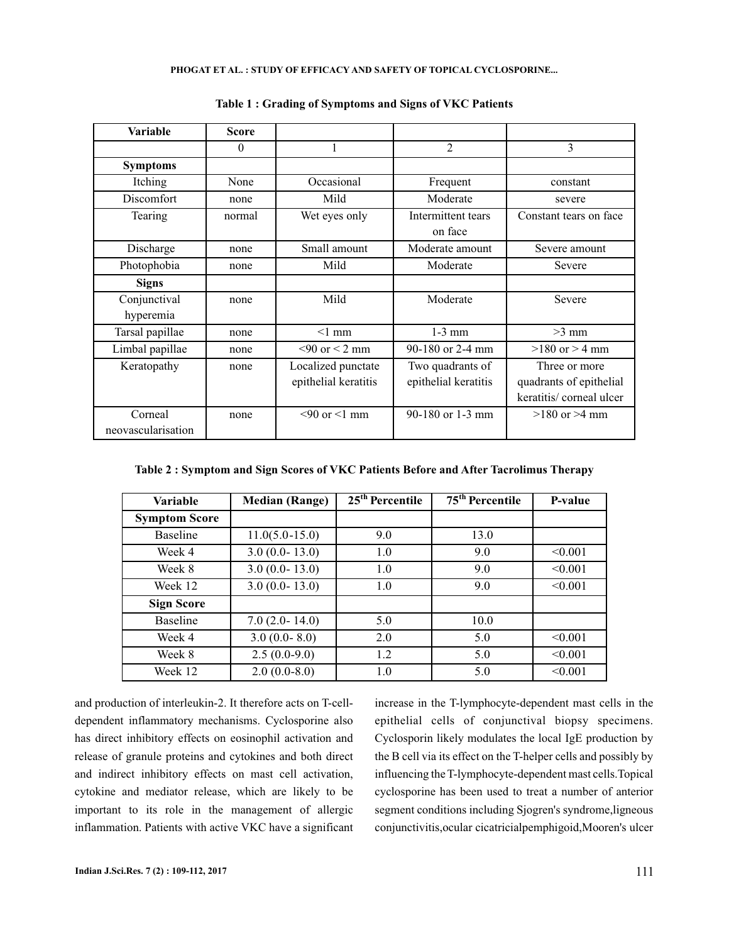#### **PHOGAT ET AL. : STUDY OF EFFICACY AND SAFETY OF TOPICAL CYCLOSPORINE...**

| Variable           | <b>Score</b> |                          |                               |                         |  |
|--------------------|--------------|--------------------------|-------------------------------|-------------------------|--|
|                    | $\theta$     | 1                        | $\mathfrak{D}$                | 3                       |  |
| <b>Symptoms</b>    |              |                          |                               |                         |  |
| Itching            | None         | Occasional               | Frequent                      | constant                |  |
| Discomfort         | none         | Mild                     | Moderate                      | severe                  |  |
| Tearing            | normal       | Wet eyes only            | Intermittent tears<br>on face | Constant tears on face  |  |
| Discharge          | none         | Small amount             | Moderate amount               | Severe amount           |  |
| Photophobia        | none         | Mild                     | Moderate                      | Severe                  |  |
| <b>Signs</b>       |              |                          |                               |                         |  |
| Conjunctival       | none         | Mild                     | Moderate                      | Severe                  |  |
| hyperemia          |              |                          |                               |                         |  |
| Tarsal papillae    | none         | $<1$ mm                  | $1-3$ mm                      | $>3$ mm                 |  |
| Limbal papillae    | none         | $< 90$ or $< 2$ mm       | 90-180 or 2-4 mm              | $>180$ or $> 4$ mm      |  |
| Keratopathy        | none         | Localized punctate       | Two quadrants of              | Three or more           |  |
|                    |              | epithelial keratitis     | epithelial keratitis          | quadrants of epithelial |  |
|                    |              |                          |                               | keratitis/corneal ulcer |  |
| Corneal            | none         | $\leq 90$ or $\leq 1$ mm | 90-180 or 1-3 mm              | $>180$ or $>4$ mm       |  |
| neovascularisation |              |                          |                               |                         |  |

**Table 1 : Grading of Symptoms and Signs of VKC Patients**

| Table 2: Symptom and Sign Scores of VKC Patients Before and After Tacrolimus Therapy |  |
|--------------------------------------------------------------------------------------|--|
|--------------------------------------------------------------------------------------|--|

| <b>Variable</b>      | <b>Median (Range)</b> | $25th$ Percentile | $75th$ Percentile | P-value |
|----------------------|-----------------------|-------------------|-------------------|---------|
| <b>Symptom Score</b> |                       |                   |                   |         |
| <b>Baseline</b>      | $11.0(5.0-15.0)$      | 9.0               | 13.0              |         |
| Week 4               | $3.0(0.0 - 13.0)$     | 1.0               | 9.0               | < 0.001 |
| Week 8               | $3.0(0.0 - 13.0)$     | 1.0               | 9.0               | < 0.001 |
| Week 12              | $3.0(0.0 - 13.0)$     | 1.0               | 9.0               | < 0.001 |
| <b>Sign Score</b>    |                       |                   |                   |         |
| <b>Baseline</b>      | $7.0(2.0 - 14.0)$     | 5.0               | 10.0              |         |
| Week 4               | $3.0(0.0 - 8.0)$      | 2.0               | 5.0               | < 0.001 |
| Week 8               | $2.5(0.0-9.0)$        | 1.2               | 5.0               | < 0.001 |
| Week 12              | $2.0(0.0-8.0)$        | 1.0               | 5.0               | < 0.001 |

and production of interleukin-2. It therefore acts on T-celldependent inflammatory mechanisms. Cyclosporine also has direct inhibitory effects on eosinophil activation and release of granule proteins and cytokines and both direct and indirect inhibitory effects on mast cell activation, cytokine and mediator release, which are likely to be important to its role in the management of allergic inflammation. Patients with active VKC have a significant

increase in the T-lymphocyte-dependent mast cells in the epithelial cells of conjunctival biopsy specimens. Cyclosporin likely modulates the local IgE production by the B cell via its effect on the T-helper cells and possibly by influencing the T-lymphocyte-dependent mast cells.Topical cyclosporine has been used to treat a number of anterior segment conditions including Sjogren's syndrome,ligneous conjunctivitis,ocular cicatricialpemphigoid,Mooren's ulcer